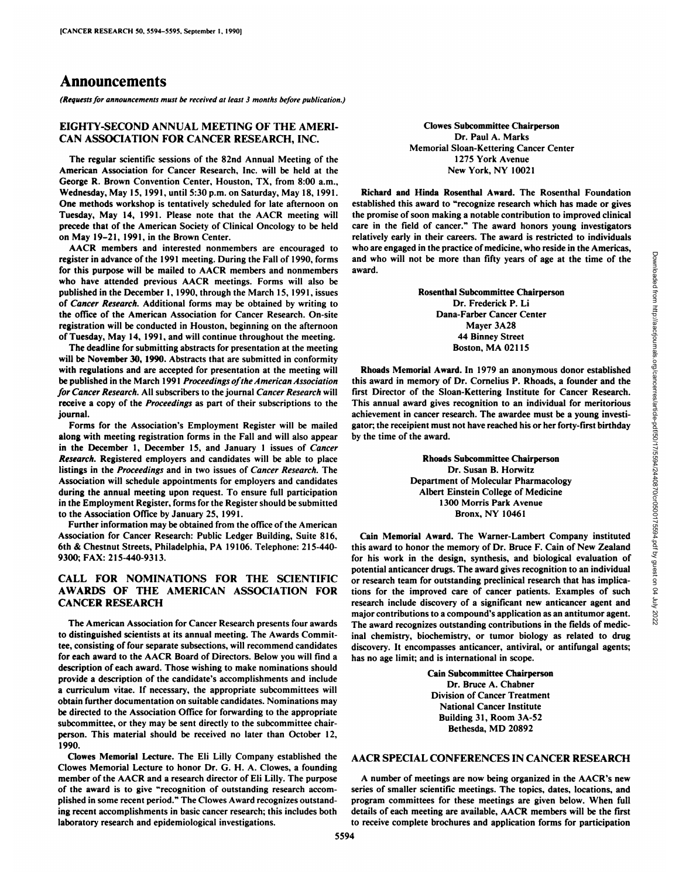# Announcements

*(Requests for announcements must he received at least 3 months before publication.)*

### EIGHTY-SECOND ANNUAL MEETING OF THE AMERI CAN ASSOCIATION FOR CANCER RESEARCH, INC.

The regular scientific sessions of the 82nd Annual Meeting of the American Association for Cancer Research, Inc. will be held at the George R. Brown Convention Center. Houston, TX, from 8:00 a.m., Wednesday, May 15. 1991, until 5:30 p.m. on Saturday, May 18, 1991. One methods workshop is tentatively scheduled for late afternoon on precede that of the American Society of Clinical Oncology to be held on May 19-21, 1991, in the Brown Center.

AACR members and interested nonmembers are encouraged to register in advance of the 1991 meeting. During the Fall of 1990, forms for this purpose will be mailed to AACR members and nonmembers who have attended previous AACR meetings. Forms will also be published in the December 1. 1990, through the March 15, 1991, issues of Cancer Research. Additional forms may be obtained by writing to the office of the American Association for Cancer Research. On-site registration will be conducted in Houston, beginning on the afternoon of Tuesday, May 14, 1991, and will continue throughout the meeting.

The deadline for submitting abstracts for presentation at the meeting will be November 30, 1990. Abstracts that are submitted in conformity with regulations and are accepted for presentation at the meeting will be published in the March 1991 Proceedings of the American Association *for Cancer Research. All subscribers to the journal Cancer Research will* receive a copy of the Proceedings as part of their subscriptions to the journal. Forms for the Association's Employment Register will be mailed

along with meeting registration forms in the Fall and will also appear in the December 1, December 15, and January 1 issues of Cancer *Research. Registered employers and candidates will be able to place* listings in the Proceedings and in two issues of Cancer Research. The Association will schedule appointments for employers and candidates during the annual meeting upon request. To ensure full participation in the Employment Register, forms for the Register should be submitted to the Association Office by January 25,1991.

Further information may be obtained from the office of the American Association for Cancer Research: Public Ledger Building, Suite 816, 6th & Chestnut Streets, Philadelphia, PA 19106. Telephone: 215-440-9300; FAX: 215-440-9313.

### CALL FOR NOMINATIONS FOR THE SCIENTIFIC AWARDS OF THE AMERICAN ASSOCIATION FOR CANCER RESEARCH

The American Association for Cancer Research presents four awards to distinguished scientists at its annual meeting. The Awards Commit tee, consisting of four separate subsections, will recommend candidates for each award to the AACR Board of Directors. Below you will find a description of each award. Those wishing to make nominations should provide a description of the candidate's accomplishments and include a curriculum vitae. If necessary, the appropriate subcommittees will obtain further documentation on suitable candidates. Nominations may be directed to the Association Office for forwarding to the appropriate subcommittee, or they may be sent directly to the subcommittee chair person. This material should be received no later than October 12, 1990.

Clowes Memorial Lecture. The Eli Lilly Company established the Clowes Memorial Lecture to honor Dr. G. H. A. Clowes, a founding member of the AACR and <sup>a</sup> research director of Eli Lilly. The purpose of the award is to give "recognition of outstanding research accom plished in some recent period." The Clowes Award recognizes outstand ing recent accomplishments in basic cancer research; this includes both laboratory research and epidemiological investigations.

Clowes Subcommittee Chairperson Dr. Paul A. Marks Memorial Sloan-Kettering Cancer Center 1275 York Avenue New York, NY 10021

Tuesday, May 14, 1991. Please note that the AACR meeting will the promise of soon making a notable contribution to improved clinical precede that of the American Society of Clinical Oncology to be held care in the field of Richard and Hinda Rosenthal Award. The Rosenthal Foundation established this award to "recognize research which has made or gives the promise of soon making a notable contribution to improved clinical relatively early in their careers. The award is restricted to individuals who are engaged in the practice of medicine, who reside in the Americas, award.

> Rosenthal Subcommittee Chairperson Dr. Frederick P. Li Dana-Farber Cancer Center Mayer 3A28 44 Binney Street Boston, MA 02115

Rhoads Memorial Award. In 1979 an anonymous donor established this award in memory of Dr. Cornelius P. Rhoads, a founder and the first Director of the Sloan-Kettering Institute for Cancer Research. This annual award gives recognition to an individual for meritorious achievement in cancer research. The awardee must be a young investi gator; the receipient must not have reached his or her forty-first birthday by the time of the award.

> Rhoads Subcommittee Chairperson Dr. Susan B. Horwitz Department of Molecular Pharmacology Albert Einstein College of Medicine 1300 Morris Park Avenue Bronx, NY 10461

and who will not be more than fifty years of age at the time of the<br>
award.<br> **Rosenthal Subcommittee Chairperson**<br>
Dr. Frederick P. Li<br>
Dana-Farber Cancer Center<br> **Alger 3.48**<br> **44 Binney Street Boston, MA 02115**<br> **Rhoads** Cain Memorial Award. The Warner-Lambert Company instituted this award to honor the memory of Dr. Bruce F. Cain of New Zealand for his work in the design, synthesis, and biological evaluation of potential anticancer drugs. The award gives recognition to an individual or research team for outstanding preclinical research that has implica tions for the improved care of cancer patients. Examples of such research include discovery of a significant new anticancer agent and major contributions to a compound's application as an antitumor agent. The award recognizes outstanding contributions in the fields of medic inal chemistry, biochemistry, or tumor biology as related to drug discovery. It encompasses anticancer, antiviral, or antifungal agents; has no age limit; and is international in scope.

> Cain Subcommittee Chairperson Dr. Bruce A. Chabner Division of Cancer Treatment National Cancer Institute Building 31, Room 3A-52 Bethesda, MD 20892

#### AACR SPECIAL CONFERENCES IN CANCER RESEARCH

A number of meetings are now being organized in the AACR's new series of smaller scientific meetings. The topics, dates, locations, and program committees for these meetings are given below. When full details of each meeting are available. AACR members will be the first to receive complete brochures and application forms for participation